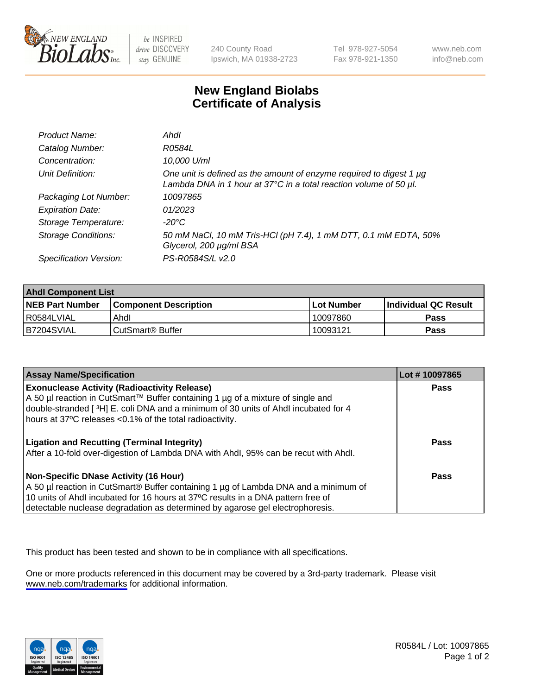

be INSPIRED drive DISCOVERY stay GENUINE

240 County Road Ipswich, MA 01938-2723 Tel 978-927-5054 Fax 978-921-1350

www.neb.com info@neb.com

## **New England Biolabs Certificate of Analysis**

| Product Name:              | Ahdl                                                                                                                                                    |
|----------------------------|---------------------------------------------------------------------------------------------------------------------------------------------------------|
| Catalog Number:            | R0584L                                                                                                                                                  |
| Concentration:             | 10,000 U/ml                                                                                                                                             |
| Unit Definition:           | One unit is defined as the amount of enzyme required to digest 1 µg<br>Lambda DNA in 1 hour at $37^{\circ}$ C in a total reaction volume of 50 $\mu$ l. |
| Packaging Lot Number:      | 10097865                                                                                                                                                |
| <b>Expiration Date:</b>    | 01/2023                                                                                                                                                 |
| Storage Temperature:       | -20°C                                                                                                                                                   |
| <b>Storage Conditions:</b> | 50 mM NaCl, 10 mM Tris-HCl (pH 7.4), 1 mM DTT, 0.1 mM EDTA, 50%<br>Glycerol, 200 µg/ml BSA                                                              |
| Specification Version:     | PS-R0584S/L v2.0                                                                                                                                        |

| <b>Ahdl Component List</b> |                              |             |                             |  |
|----------------------------|------------------------------|-------------|-----------------------------|--|
| <b>NEB Part Number</b>     | <b>Component Description</b> | ⊺Lot Number | <b>Individual QC Result</b> |  |
| I R0584LVIAL               | Ahdl                         | 10097860    | Pass                        |  |
| B7204SVIAL                 | l CutSmart® Buffer           | 10093121    | Pass                        |  |

| <b>Assay Name/Specification</b>                                                                                                                                                                                                                                                                   | Lot #10097865 |
|---------------------------------------------------------------------------------------------------------------------------------------------------------------------------------------------------------------------------------------------------------------------------------------------------|---------------|
| <b>Exonuclease Activity (Radioactivity Release)</b><br>A 50 µl reaction in CutSmart™ Buffer containing 1 µg of a mixture of single and<br>double-stranded [3H] E. coli DNA and a minimum of 30 units of Ahdl incubated for 4<br>hours at 37°C releases <0.1% of the total radioactivity.          | <b>Pass</b>   |
| <b>Ligation and Recutting (Terminal Integrity)</b><br>After a 10-fold over-digestion of Lambda DNA with Ahdl, 95% can be recut with Ahdl.                                                                                                                                                         | Pass          |
| Non-Specific DNase Activity (16 Hour)<br>A 50 µl reaction in CutSmart® Buffer containing 1 µg of Lambda DNA and a minimum of<br>10 units of Ahdl incubated for 16 hours at 37°C results in a DNA pattern free of<br>detectable nuclease degradation as determined by agarose gel electrophoresis. | Pass          |

This product has been tested and shown to be in compliance with all specifications.

One or more products referenced in this document may be covered by a 3rd-party trademark. Please visit <www.neb.com/trademarks>for additional information.